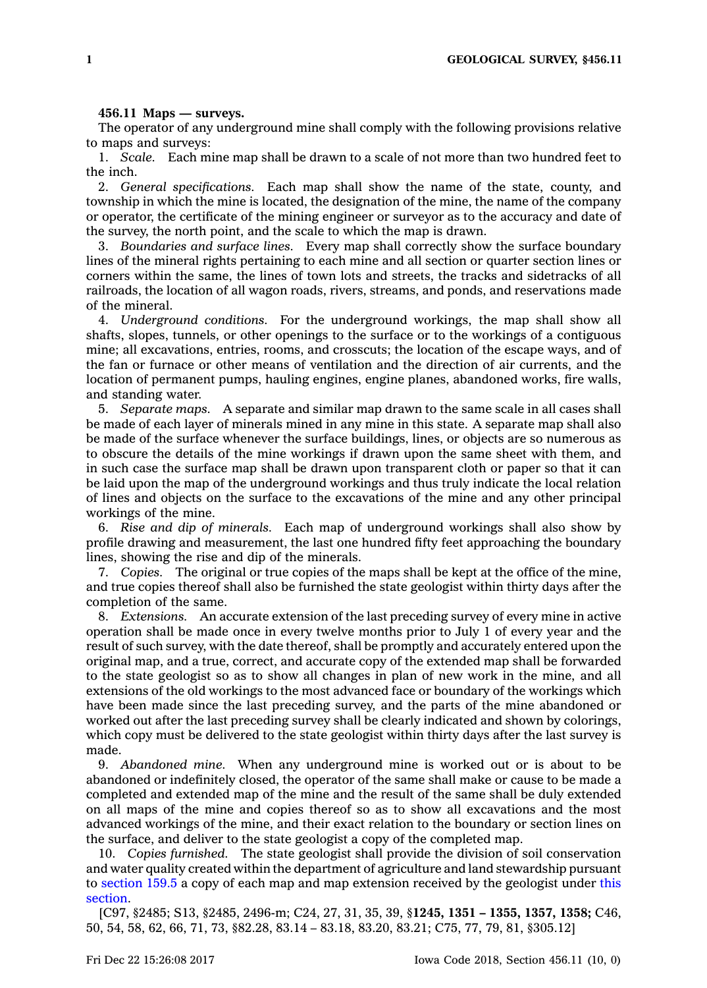## **456.11 Maps — surveys.**

The operator of any underground mine shall comply with the following provisions relative to maps and surveys:

1. *Scale.* Each mine map shall be drawn to <sup>a</sup> scale of not more than two hundred feet to the inch.

2. *General specifications.* Each map shall show the name of the state, county, and township in which the mine is located, the designation of the mine, the name of the company or operator, the certificate of the mining engineer or surveyor as to the accuracy and date of the survey, the north point, and the scale to which the map is drawn.

3. *Boundaries and surface lines.* Every map shall correctly show the surface boundary lines of the mineral rights pertaining to each mine and all section or quarter section lines or corners within the same, the lines of town lots and streets, the tracks and sidetracks of all railroads, the location of all wagon roads, rivers, streams, and ponds, and reservations made of the mineral.

4. *Underground conditions.* For the underground workings, the map shall show all shafts, slopes, tunnels, or other openings to the surface or to the workings of <sup>a</sup> contiguous mine; all excavations, entries, rooms, and crosscuts; the location of the escape ways, and of the fan or furnace or other means of ventilation and the direction of air currents, and the location of permanent pumps, hauling engines, engine planes, abandoned works, fire walls, and standing water.

5. *Separate maps.* A separate and similar map drawn to the same scale in all cases shall be made of each layer of minerals mined in any mine in this state. A separate map shall also be made of the surface whenever the surface buildings, lines, or objects are so numerous as to obscure the details of the mine workings if drawn upon the same sheet with them, and in such case the surface map shall be drawn upon transparent cloth or paper so that it can be laid upon the map of the underground workings and thus truly indicate the local relation of lines and objects on the surface to the excavations of the mine and any other principal workings of the mine.

6. *Rise and dip of minerals.* Each map of underground workings shall also show by profile drawing and measurement, the last one hundred fifty feet approaching the boundary lines, showing the rise and dip of the minerals.

7. *Copies.* The original or true copies of the maps shall be kept at the office of the mine, and true copies thereof shall also be furnished the state geologist within thirty days after the completion of the same.

8. *Extensions.* An accurate extension of the last preceding survey of every mine in active operation shall be made once in every twelve months prior to July 1 of every year and the result of such survey, with the date thereof, shall be promptly and accurately entered upon the original map, and <sup>a</sup> true, correct, and accurate copy of the extended map shall be forwarded to the state geologist so as to show all changes in plan of new work in the mine, and all extensions of the old workings to the most advanced face or boundary of the workings which have been made since the last preceding survey, and the parts of the mine abandoned or worked out after the last preceding survey shall be clearly indicated and shown by colorings, which copy must be delivered to the state geologist within thirty days after the last survey is made.

9. *Abandoned mine.* When any underground mine is worked out or is about to be abandoned or indefinitely closed, the operator of the same shall make or cause to be made <sup>a</sup> completed and extended map of the mine and the result of the same shall be duly extended on all maps of the mine and copies thereof so as to show all excavations and the most advanced workings of the mine, and their exact relation to the boundary or section lines on the surface, and deliver to the state geologist <sup>a</sup> copy of the completed map.

10. *Copies furnished.* The state geologist shall provide the division of soil conservation and water quality created within the department of agriculture and land stewardship pursuant to [section](https://www.legis.iowa.gov/docs/code/159.5.pdf) 159.5 <sup>a</sup> copy of each map and map extension received by the geologist under [this](https://www.legis.iowa.gov/docs/code/456.11.pdf) [section](https://www.legis.iowa.gov/docs/code/456.11.pdf).

[C97, §2485; S13, §2485, 2496-m; C24, 27, 31, 35, 39, §**1245, 1351 – 1355, 1357, 1358;** C46, 50, 54, 58, 62, 66, 71, 73, §82.28, 83.14 – 83.18, 83.20, 83.21; C75, 77, 79, 81, §305.12]